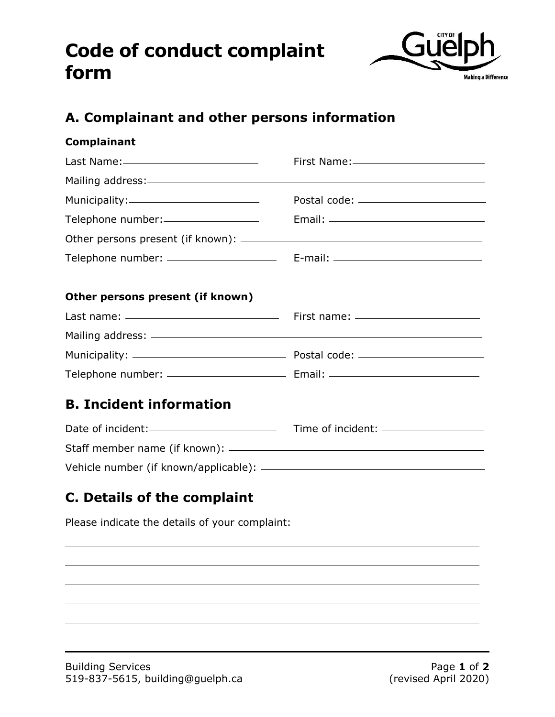## **Code of conduct complaint form**



## **A. Complainant and other persons information**

| Complainant                                                                                                    |  |
|----------------------------------------------------------------------------------------------------------------|--|
| Last Name: Name: 2008 and 2012 and 2012 and 2012 and 2012 and 2012 and 2012 and 2012 and 2012 and 2013 and 201 |  |
|                                                                                                                |  |
|                                                                                                                |  |
| Telephone number:                                                                                              |  |
|                                                                                                                |  |
|                                                                                                                |  |
| Other persons present (if known)                                                                               |  |
|                                                                                                                |  |
|                                                                                                                |  |
|                                                                                                                |  |
|                                                                                                                |  |
| <b>B. Incident information</b>                                                                                 |  |
|                                                                                                                |  |
|                                                                                                                |  |
|                                                                                                                |  |
|                                                                                                                |  |

## **C. Details of the complaint**

Please indicate the details of your complaint: